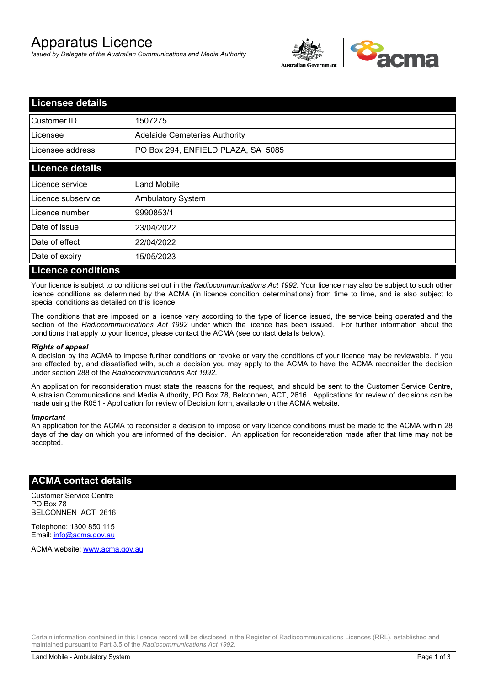# Apparatus Licence

*Issued by Delegate of the Australian Communications and Media Authority*



| <b>Licensee details</b>   |                                      |  |
|---------------------------|--------------------------------------|--|
| Customer ID               | 1507275                              |  |
| Licensee                  | <b>Adelaide Cemeteries Authority</b> |  |
| Licensee address          | PO Box 294, ENFIELD PLAZA, SA 5085   |  |
| <b>Licence details</b>    |                                      |  |
| Licence service           | <b>Land Mobile</b>                   |  |
| Licence subservice        | <b>Ambulatory System</b>             |  |
| Licence number            | 9990853/1                            |  |
| Date of issue             | 23/04/2022                           |  |
| Date of effect            | 22/04/2022                           |  |
| Date of expiry            | 15/05/2023                           |  |
| <b>Licence conditions</b> |                                      |  |

Your licence is subject to conditions set out in the *Radiocommunications Act 1992*. Your licence may also be subject to such other licence conditions as determined by the ACMA (in licence condition determinations) from time to time, and is also subject to special conditions as detailed on this licence.

The conditions that are imposed on a licence vary according to the type of licence issued, the service being operated and the section of the *Radiocommunications Act 1992* under which the licence has been issued. For further information about the conditions that apply to your licence, please contact the ACMA (see contact details below).

#### *Rights of appeal*

A decision by the ACMA to impose further conditions or revoke or vary the conditions of your licence may be reviewable. If you are affected by, and dissatisfied with, such a decision you may apply to the ACMA to have the ACMA reconsider the decision under section 288 of the *Radiocommunications Act 1992*.

An application for reconsideration must state the reasons for the request, and should be sent to the Customer Service Centre, Australian Communications and Media Authority, PO Box 78, Belconnen, ACT, 2616. Applications for review of decisions can be made using the R051 - Application for review of Decision form, available on the ACMA website.

#### *Important*

An application for the ACMA to reconsider a decision to impose or vary licence conditions must be made to the ACMA within 28 days of the day on which you are informed of the decision. An application for reconsideration made after that time may not be accepted.

#### **ACMA contact details**

Customer Service Centre PO Box 78 BELCONNEN ACT 2616

Telephone: 1300 850 115 Email: info@acma.gov.au

ACMA website: www.acma.gov.au

Certain information contained in this licence record will be disclosed in the Register of Radiocommunications Licences (RRL), established and maintained pursuant to Part 3.5 of the *Radiocommunications Act 1992.*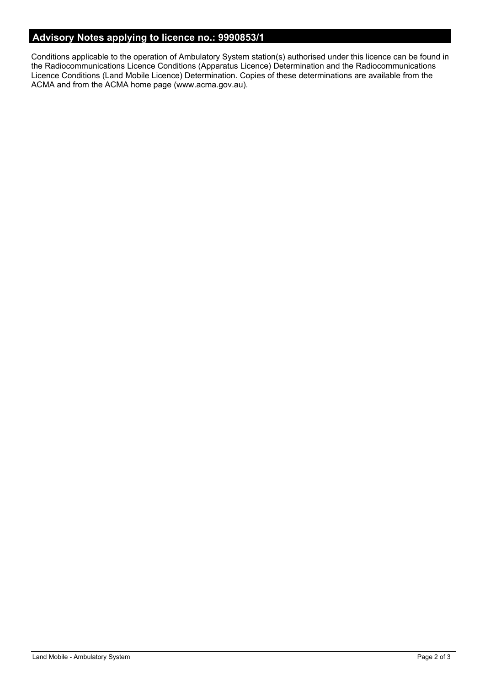## **Advisory Notes applying to licence no.: 9990853/1**

Conditions applicable to the operation of Ambulatory System station(s) authorised under this licence can be found in the Radiocommunications Licence Conditions (Apparatus Licence) Determination and the Radiocommunications Licence Conditions (Land Mobile Licence) Determination. Copies of these determinations are available from the ACMA and from the ACMA home page (www.acma.gov.au).